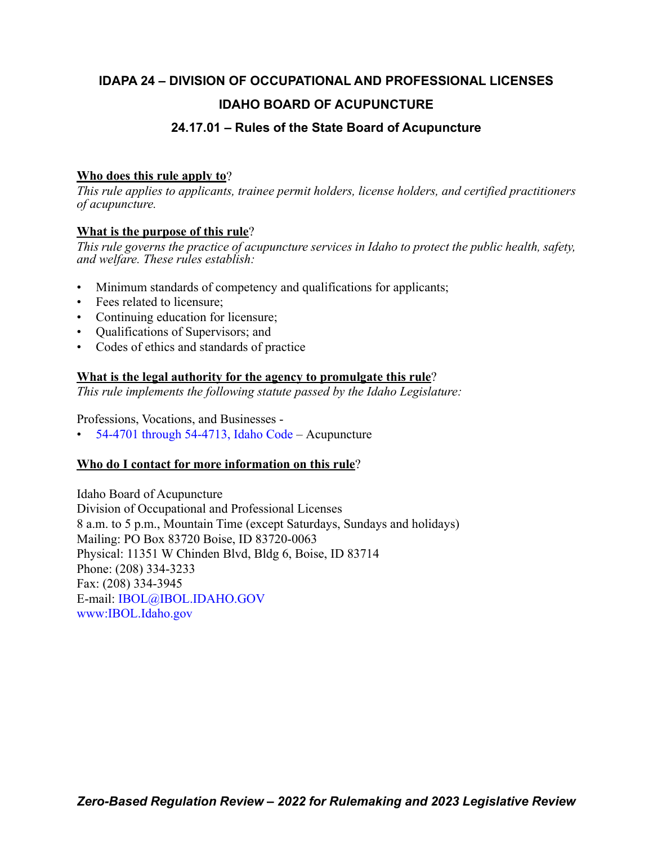## **IDAPA 24 – DIVISION OF OCCUPATIONAL AND PROFESSIONAL LICENSES IDAHO BOARD OF ACUPUNCTURE 24.17.01 – Rules of the State Board of Acupuncture**

## **Who does this rule apply to**?

*This rule applies to applicants, trainee permit holders, license holders, and certified practitioners of acupuncture.*

## **What is the purpose of this rule**?

*This rule governs the practice of acupuncture services in Idaho to protect the public health, safety, and welfare. These rules establish:*

- Minimum standards of competency and qualifications for applicants;
- Fees related to licensure;
- Continuing education for licensure;
- Qualifications of Supervisors; and
- Codes of ethics and standards of practice

## **What is the legal authority for the agency to promulgate this rule**?

*This rule implements the following statute passed by the Idaho Legislature:*

Professions, Vocations, and Businesses -

• [54-4701 through 54-4713, Idaho Code](https://legislature.idaho.gov/statutesrules/idstat/Title54/T54CH47/) – Acupuncture

## **Who do I contact for more information on this rule**?

Idaho Board of Acupuncture Division of Occupational and Professional Licenses 8 a.m. to 5 p.m., Mountain Time (except Saturdays, Sundays and holidays) Mailing: PO Box 83720 Boise, ID 83720-0063 Physical: 11351 W Chinden Blvd, Bldg 6, Boise, ID 83714 Phone: (208) 334-3233 Fax: (208) 334-3945 E-mail: [IBOL@IBOL.IDAHO.GOV](mailto: IBOL@IBOL.IDAHO.GOV) [www:IBOL.Idaho.gov](http://www.ibol.idaho.gov/)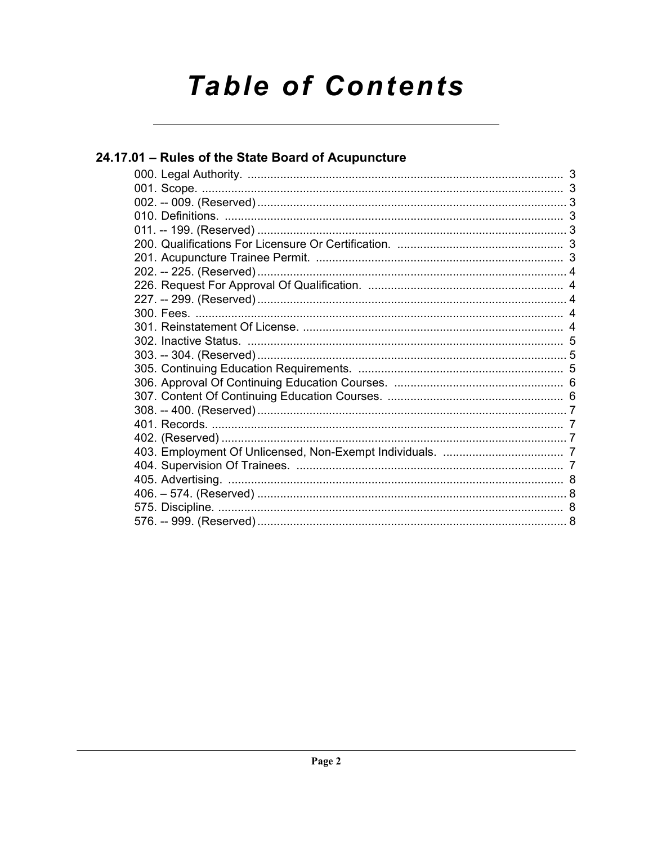# **Table of Contents**

| 24.17.01 - Rules of the State Board of Acupuncture |  |
|----------------------------------------------------|--|
|                                                    |  |
|                                                    |  |
|                                                    |  |
|                                                    |  |
|                                                    |  |
|                                                    |  |
|                                                    |  |
|                                                    |  |
|                                                    |  |
|                                                    |  |
|                                                    |  |
|                                                    |  |
|                                                    |  |
|                                                    |  |
|                                                    |  |
|                                                    |  |
|                                                    |  |
|                                                    |  |
|                                                    |  |
|                                                    |  |
|                                                    |  |
|                                                    |  |
|                                                    |  |
|                                                    |  |
|                                                    |  |
|                                                    |  |
|                                                    |  |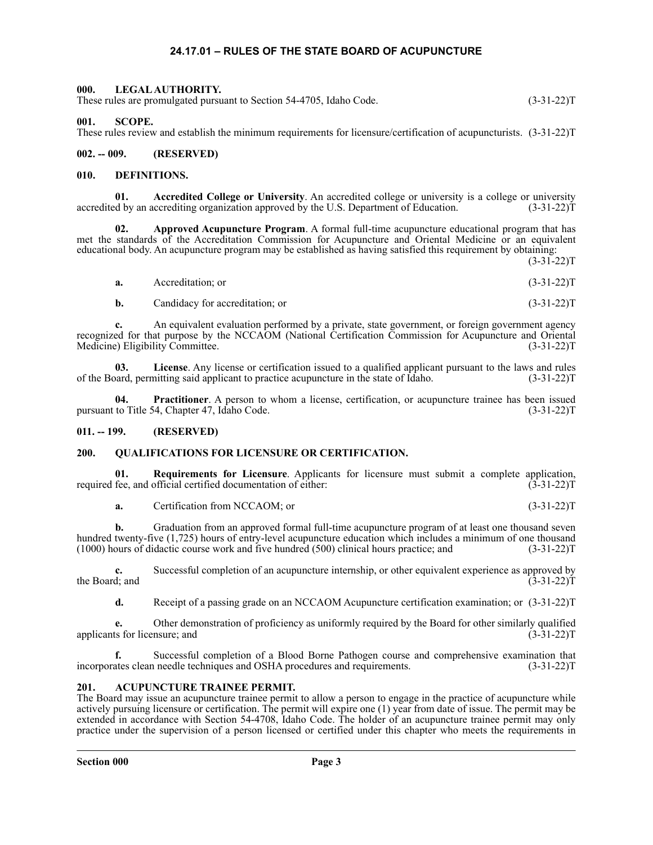#### **24.17.01 – RULES OF THE STATE BOARD OF ACUPUNCTURE**

## <span id="page-2-1"></span><span id="page-2-0"></span>**000. LEGAL AUTHORITY.** These rules are promulgated pursuant to Section 54-4705, Idaho Code. (3-31-22)T

<span id="page-2-2"></span>**001. SCOPE.**

These rules review and establish the minimum requirements for licensure/certification of acupuncturists. (3-31-22)T

<span id="page-2-3"></span>**002. -- 009. (RESERVED)**

#### <span id="page-2-4"></span>**010. DEFINITIONS.**

**01. Accredited College or University**. An accredited college or university is a college or university accredited by an accrediting organization approved by the U.S. Department of Education. (3-31-22)T

**02. Approved Acupuncture Program**. A formal full-time acupuncture educational program that has met the standards of the Accreditation Commission for Acupuncture and Oriental Medicine or an equivalent educational body. An acupuncture program may be established as having satisfied this requirement by obtaining:

 $(3-31-22)T$ 

| a. | Accreditation: or | $(3-31-22)T$ |  |
|----|-------------------|--------------|--|
|    |                   |              |  |

**b.** Candidacy for accreditation; or (3-31-22)T

**c.** An equivalent evaluation performed by a private, state government, or foreign government agency recognized for that purpose by the NCCAOM (National Certification Commission for Acupuncture and Oriental Medicine) Eligibility Committee. (3-31-22)T Medicine) Eligibility Committee.

**03.** License. Any license or certification issued to a qualified applicant pursuant to the laws and rules pard, permitting said applicant to practice acupuncture in the state of Idaho. (3-31-22) of the Board, permitting said applicant to practice acupuncture in the state of Idaho.

**Practitioner**. A person to whom a license, certification, or acupuncture trainee has been issued pursuant to Title 54, Chapter 47, Idaho Code. (3-31-22)T

#### <span id="page-2-5"></span>**011. -- 199. (RESERVED)**

#### <span id="page-2-6"></span>**200. QUALIFICATIONS FOR LICENSURE OR CERTIFICATION.**

**01.** Requirements for Licensure. Applicants for licensure must submit a complete application, fee. and official certified documentation of either: (3-31-22) required fee, and official certified documentation of either:

**a.** Certification from NCCAOM; or (3-31-22)T

**b.** Graduation from an approved formal full-time acupuncture program of at least one thousand seven hundred twenty-five (1,725) hours of entry-level acupuncture education which includes a minimum of one thousand (1000) hours of didactic course work and five hundred (500) clinical hours practice; and (3-31-22)T

**c.** Successful completion of an acupuncture internship, or other equivalent experience as approved by d; and (3-31-22) the Board; and

**d.** Receipt of a passing grade on an NCCAOM Acupuncture certification examination; or (3-31-22)T

**e.** Other demonstration of proficiency as uniformly required by the Board for other similarly qualified ts for licensure; and (3-31-22) applicants for licensure; and

**f.** Successful completion of a Blood Borne Pathogen course and comprehensive examination that incorporates clean needle techniques and OSHA procedures and requirements. (3-31-22)T

#### <span id="page-2-7"></span>**201. ACUPUNCTURE TRAINEE PERMIT.**

The Board may issue an acupuncture trainee permit to allow a person to engage in the practice of acupuncture while actively pursuing licensure or certification. The permit will expire one (1) year from date of issue. The permit may be extended in accordance with Section 54-4708, Idaho Code. The holder of an acupuncture trainee permit may only practice under the supervision of a person licensed or certified under this chapter who meets the requirements in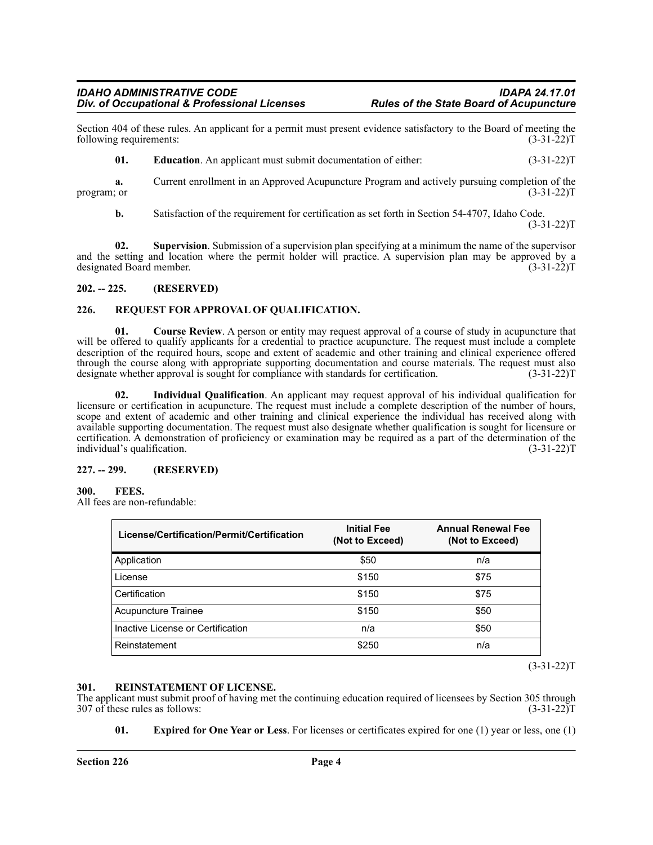#### *IDAHO ADMINISTRATIVE CODE IDAPA 24.17.01* **Div. of Occupational & Professional Licenses**

Section 404 of these rules. An applicant for a permit must present evidence satisfactory to the Board of meeting the following requirements: (3-31-22) following requirements:

**01. Education**. An applicant must submit documentation of either: (3-31-22)T

**a.** Current enrollment in an Approved Acupuncture Program and actively pursuing completion of the (3-31-22) T program; or

**b.** Satisfaction of the requirement for certification as set forth in Section 54-4707, Idaho Code.  $(3-31-22)T$ 

**02. Supervision**. Submission of a supervision plan specifying at a minimum the name of the supervisor and the setting and location where the permit holder will practice. A supervision plan may be approved by a designated Board member. (3-31-22)T

#### <span id="page-3-0"></span>**202. -- 225. (RESERVED)**

#### <span id="page-3-1"></span>**226. REQUEST FOR APPROVAL OF QUALIFICATION.**

**01. Course Review**. A person or entity may request approval of a course of study in acupuncture that will be offered to qualify applicants for a credential to practice acupuncture. The request must include a complete description of the required hours, scope and extent of academic and other training and clinical experience offered through the course along with appropriate supporting documentation and course materials. The request must also designate whether approval is sought for compliance with standards for certification. (3-31-22)T

**02. Individual Qualification**. An applicant may request approval of his individual qualification for licensure or certification in acupuncture. The request must include a complete description of the number of hours, scope and extent of academic and other training and clinical experience the individual has received along with available supporting documentation. The request must also designate whether qualification is sought for licensure or certification. A demonstration of proficiency or examination may be required as a part of the determination of the individual's qualification. (3-31-22)T

#### <span id="page-3-2"></span>**227. -- 299. (RESERVED)**

#### <span id="page-3-3"></span>**300. FEES.**

All fees are non-refundable:

| License/Certification/Permit/Certification | <b>Initial Fee</b><br>(Not to Exceed) | <b>Annual Renewal Fee</b><br>(Not to Exceed) |  |  |
|--------------------------------------------|---------------------------------------|----------------------------------------------|--|--|
| Application                                | \$50                                  | n/a                                          |  |  |
| License                                    | \$150                                 | \$75                                         |  |  |
| Certification                              | \$150                                 | \$75                                         |  |  |
| Acupuncture Trainee                        | \$150                                 | \$50                                         |  |  |
| Inactive License or Certification          | n/a                                   | \$50                                         |  |  |
| Reinstatement                              | \$250                                 | n/a                                          |  |  |

 $(3-31-22)T$ 

#### <span id="page-3-4"></span>**301. REINSTATEMENT OF LICENSE.**

The applicant must submit proof of having met the continuing education required of licensees by Section 305 through 307 of these rules as follows: (3-31-22) 307 of these rules as follows:

**01. Expired for One Year or Less**. For licenses or certificates expired for one (1) year or less, one (1)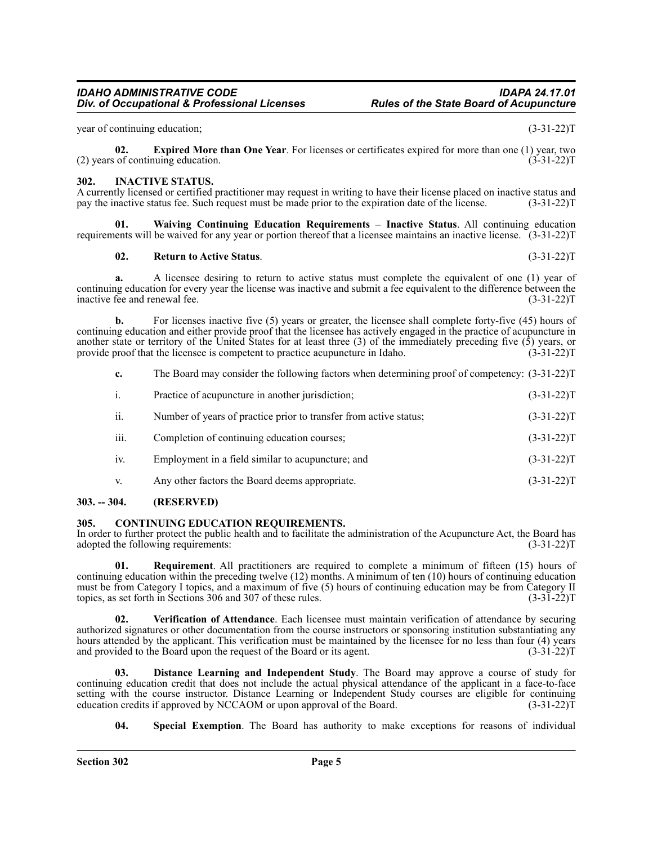year of continuing education; (3-31-22)T

**02. Expired More than One Year**. For licenses or certificates expired for more than one (1) year, two of continuing education. (3-31-22)  $(2)$  years of continuing education.

#### <span id="page-4-0"></span>**302. INACTIVE STATUS.**

A currently licensed or certified practitioner may request in writing to have their license placed on inactive status and pay the inactive status fee. Such request must be made prior to the expiration date of the license. pay the inactive status fee. Such request must be made prior to the expiration date of the license.

**01. Waiving Continuing Education Requirements – Inactive Status**. All continuing education requirements will be waived for any year or portion thereof that a licensee maintains an inactive license. (3-31-22)T

#### **02. Return to Active Status**. (3-31-22)T

**a.** A licensee desiring to return to active status must complete the equivalent of one (1) year of continuing education for every year the license was inactive and submit a fee equivalent to the difference between the inactive fee and renewal fee. (3-31-22)T inactive fee and renewal fee.

**b.** For licenses inactive five (5) years or greater, the licensee shall complete forty-five (45) hours of continuing education and either provide proof that the licensee has actively engaged in the practice of acupuncture in another state or territory of the United States for at least three (3) of the immediately preceding five (5) years, or provide proof that the licensee is competent to practice acupuncture in Idaho.  $(3-31-22)$ T provide proof that the licensee is competent to practice acupuncture in Idaho.

| c. | The Board may consider the following factors when determining proof of competency: (3-31-22)T |  |  |  |  |
|----|-----------------------------------------------------------------------------------------------|--|--|--|--|
|    |                                                                                               |  |  |  |  |

| ii.<br>Number of years of practice prior to transfer from active status;<br>iii.<br>Completion of continuing education courses;<br>iv.<br>Employment in a field similar to acupuncture; and<br>Any other factors the Board deems appropriate.<br>V. | $\mathbf{i}$ . | Practice of acupuncture in another jurisdiction; | $(3-31-22)T$ |
|-----------------------------------------------------------------------------------------------------------------------------------------------------------------------------------------------------------------------------------------------------|----------------|--------------------------------------------------|--------------|
|                                                                                                                                                                                                                                                     |                |                                                  | $(3-31-22)T$ |
|                                                                                                                                                                                                                                                     |                |                                                  | $(3-31-22)T$ |
|                                                                                                                                                                                                                                                     |                |                                                  | $(3-31-22)T$ |
|                                                                                                                                                                                                                                                     |                |                                                  | $(3-31-22)T$ |

#### <span id="page-4-1"></span>**303. -- 304. (RESERVED)**

#### <span id="page-4-2"></span>**305. CONTINUING EDUCATION REQUIREMENTS.**

In order to further protect the public health and to facilitate the administration of the Acupuncture Act, the Board has adopted the following requirements: (3-31-22) adopted the following requirements:

**01. Requirement**. All practitioners are required to complete a minimum of fifteen (15) hours of continuing education within the preceding twelve (12) months. A minimum of ten (10) hours of continuing education must be from Category I topics, and a maximum of five (5) hours of continuing education may be from Category II topics, as set forth in Sections 306 and 307 of these rules. (3-31-22) topics, as set forth in Sections 306 and 307 of these rules.

**02. Verification of Attendance**. Each licensee must maintain verification of attendance by securing authorized signatures or other documentation from the course instructors or sponsoring institution substantiating any hours attended by the applicant. This verification must be maintained by the licensee for no less than four (4) years and provided to the Board upon the request of the Board or its agent. (3-31-22) and provided to the Board upon the request of the Board or its agent.

**Distance Learning and Independent Study**. The Board may approve a course of study for continuing education credit that does not include the actual physical attendance of the applicant in a face-to-face setting with the course instructor. Distance Learning or Independent Study courses are eligible for continuing education credits if approved by NCCAOM or upon approval of the Board. (3-31-22) education credits if approved by NCCAOM or upon approval of the Board.

**04. Special Exemption**. The Board has authority to make exceptions for reasons of individual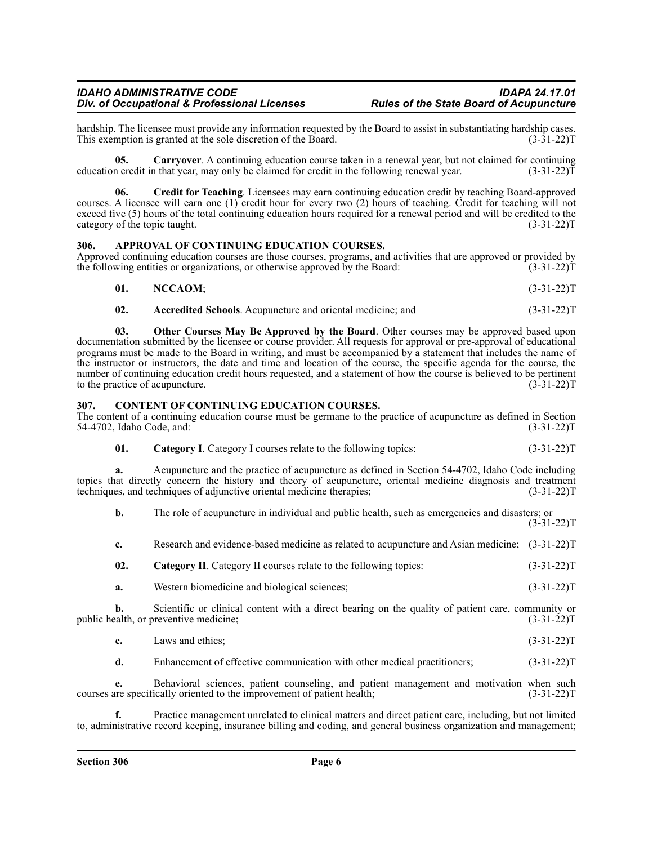#### *IDAHO ADMINISTRATIVE CODE IDAPA 24.17.01* **Div. of Occupational & Professional Licenses**

hardship. The licensee must provide any information requested by the Board to assist in substantiating hardship cases.<br>This exemption is granted at the sole discretion of the Board. (3-31-22) This exemption is granted at the sole discretion of the Board.

**05. Carryover**. A continuing education course taken in a renewal year, but not claimed for continuing education credit in that year, may only be claimed for credit in the following renewal year.  $(3-31-22)\bar{T}$ 

**06. Credit for Teaching**. Licensees may earn continuing education credit by teaching Board-approved courses. A licensee will earn one (1) credit hour for every two (2) hours of teaching. Credit for teaching will not exceed five (5) hours of the total continuing education hours required for a renewal period and will be credited to the category of the topic taught.  $(3-31-22)T$ 

#### <span id="page-5-0"></span>**306. APPROVAL OF CONTINUING EDUCATION COURSES.**

Approved continuing education courses are those courses, programs, and activities that are approved or provided by the following entities or organizations, or otherwise approved by the Board: (3-31-22) (3-31-22) T

| 01. | NCCAOM; | $(3-31-22)T$ |
|-----|---------|--------------|
|     |         |              |

**02. Accredited Schools**. Acupuncture and oriental medicine; and (3-31-22)T

**03. Other Courses May Be Approved by the Board**. Other courses may be approved based upon documentation submitted by the licensee or course provider. All requests for approval or pre-approval of educational programs must be made to the Board in writing, and must be accompanied by a statement that includes the name of the instructor or instructors, the date and time and location of the course, the specific agenda for the course, the number of continuing education credit hours requested, and a statement of how the course is believed to be pertinent to the practice of acupuncture. (3-31-22)T

#### <span id="page-5-1"></span>**307. CONTENT OF CONTINUING EDUCATION COURSES.**

The content of a continuing education course must be germane to the practice of acupuncture as defined in Section 54-4702, Idaho Code, and: (3-31-22)T

**01.** Category I. Category I courses relate to the following topics:  $(3-31-22)T$ 

**a.** Acupuncture and the practice of acupuncture as defined in Section 54-4702, Idaho Code including topics that directly concern the history and theory of acupuncture, oriental medicine diagnosis and treatment techniques, and techniques of adjunctive oriental medicine therapies; (3-31-22) techniques, and techniques of adjunctive oriental medicine therapies;

**b.** The role of acupuncture in individual and public health, such as emergencies and disasters; or  $(3-31-22)T$ 

- **c.** Research and evidence-based medicine as related to acupuncture and Asian medicine; (3-31-22)T
- **02.** Category II. Category II courses relate to the following topics:  $(3-31-22)$ T
- **a.** Western biomedicine and biological sciences; (3-31-22)T

**b.** Scientific or clinical content with a direct bearing on the quality of patient care, community or public health, or preventive medicine; (3-31-22)T

| c. | Laws and ethics: | $(3-31-22)T$ |
|----|------------------|--------------|
|----|------------------|--------------|

**d.** Enhancement of effective communication with other medical practitioners; (3-31-22)T

**e.** Behavioral sciences, patient counseling, and patient management and motivation when such courses are specifically oriented to the improvement of patient health; (3-31-22)T

**f.** Practice management unrelated to clinical matters and direct patient care, including, but not limited to, administrative record keeping, insurance billing and coding, and general business organization and management;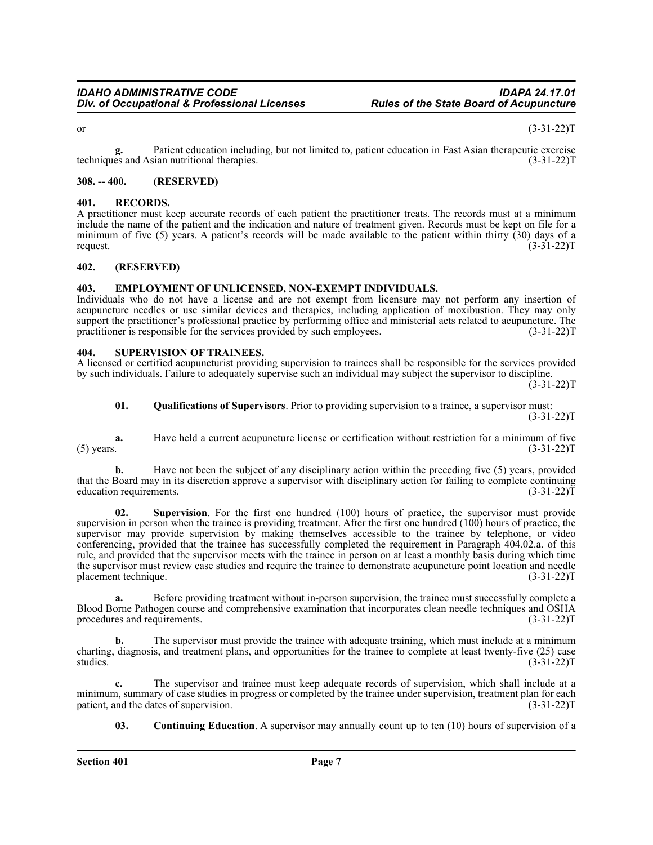or  $(3-31-22)T$ 

**g.** Patient education including, but not limited to, patient education in East Asian therapeutic exercise<br>
(3-31-22)T techniques and Asian nutritional therapies.

#### <span id="page-6-0"></span>**308. -- 400. (RESERVED)**

#### <span id="page-6-1"></span>**401. RECORDS.**

A practitioner must keep accurate records of each patient the practitioner treats. The records must at a minimum include the name of the patient and the indication and nature of treatment given. Records must be kept on file for a minimum of five (5) years. A patient's records will be made available to the patient within thirty (30) days of a request.  $(3-31-22)T$ 

#### <span id="page-6-2"></span>**402. (RESERVED)**

#### <span id="page-6-3"></span>**403. EMPLOYMENT OF UNLICENSED, NON-EXEMPT INDIVIDUALS.**

Individuals who do not have a license and are not exempt from licensure may not perform any insertion of acupuncture needles or use similar devices and therapies, including application of moxibustion. They may only support the practitioner's professional practice by performing office and ministerial acts related to acupuncture. The practitioner is responsible for the services provided by such employees. (3-31-22)T

#### <span id="page-6-4"></span>**404. SUPERVISION OF TRAINEES.**

A licensed or certified acupuncturist providing supervision to trainees shall be responsible for the services provided by such individuals. Failure to adequately supervise such an individual may subject the supervisor to discipline.  $(3-31-22)$ T

**01. Qualifications of Supervisors**. Prior to providing supervision to a trainee, a supervisor must:  $(3-31-22)T$ 

**a.** Have held a current acupuncture license or certification without restriction for a minimum of five (5) years. (3-31-22) (5) years.  $(3-31-22)T$ 

**b.** Have not been the subject of any disciplinary action within the preceding five (5) years, provided that the Board may in its discretion approve a supervisor with disciplinary action for failing to complete continuing education requirements. (3-31-22) education requirements.

**02. Supervision**. For the first one hundred (100) hours of practice, the supervisor must provide supervision in person when the trainee is providing treatment. After the first one hundred (100) hours of practice, the supervisor may provide supervision by making themselves accessible to the trainee by telephone, or video conferencing, provided that the trainee has successfully completed the requirement in Paragraph 404.02.a. of this rule, and provided that the supervisor meets with the trainee in person on at least a monthly basis during which time the supervisor must review case studies and require the trainee to demonstrate acupuncture point location and needle placement technique. (3-31-22)T

**a.** Before providing treatment without in-person supervision, the trainee must successfully complete a Blood Borne Pathogen course and comprehensive examination that incorporates clean needle techniques and OSHA procedures and requirements. (3-31-22)T

**b.** The supervisor must provide the trainee with adequate training, which must include at a minimum charting, diagnosis, and treatment plans, and opportunities for the trainee to complete at least twenty-five (25) case<br>(3-31-22)T studies. (3-31-22)T

**c.** The supervisor and trainee must keep adequate records of supervision, which shall include at a minimum, summary of case studies in progress or completed by the trainee under supervision, treatment plan for each patient, and the dates of supervision. (3-31-22) patient, and the dates of supervision.

**03. Continuing Education**. A supervisor may annually count up to ten (10) hours of supervision of a